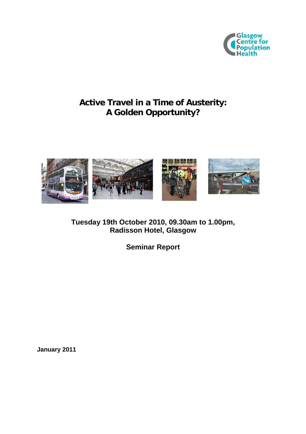

# **Active Travel in a Time of Austerity: A Golden Opportunity?**



# **Tuesday 19th October 2010, 09.30am to 1.00pm, Radisson Hotel, Glasgow**

**Seminar Report** 

**January 2011**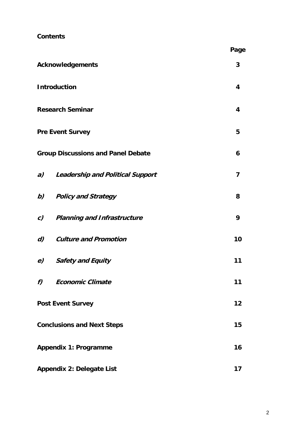## **Contents**

|                                                  | Page |
|--------------------------------------------------|------|
| <b>Acknowledgements</b>                          | 3    |
| <b>Introduction</b>                              | 4    |
| <b>Research Seminar</b>                          | 4    |
| <b>Pre Event Survey</b>                          | 5    |
| <b>Group Discussions and Panel Debate</b>        | 6    |
| <b>Leadership and Political Support</b><br>a)    | 7    |
| b)<br>Policy and Strategy                        | 8    |
| <b>Planning and Infrastructure</b><br>C)         | 9    |
| <b>Culture and Promotion</b><br>$\boldsymbol{d}$ | 10   |
| e)<br><b>Safety and Equity</b>                   | 11   |
| <b>Economic Climate</b><br>f)                    | 11   |
| <b>Post Event Survey</b>                         | 12   |
| <b>Conclusions and Next Steps</b>                | 15   |
| <b>Appendix 1: Programme</b>                     | 16   |
| <b>Appendix 2: Delegate List</b>                 | 17   |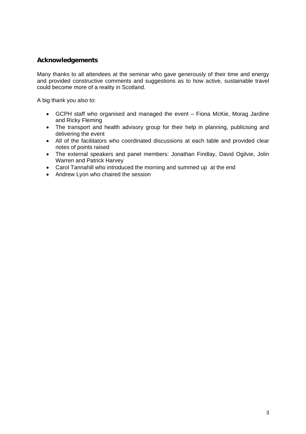### **Acknowledgements**

Many thanks to all attendees at the seminar who gave generously of their time and energy and provided constructive comments and suggestions as to how active, sustainable travel could become more of a reality in Scotland.

A big thank you also to:

- GCPH staff who organised and managed the event Fiona McKie, Morag Jardine and Ricky Fleming
- The transport and health advisory group for their help in planning, publicising and delivering the event
- All of the facilitators who coordinated discussions at each table and provided clear notes of points raised
- The external speakers and panel members: Jonathan Findlay, David Ogilvie, Jolin Warren and Patrick Harvey
- Carol Tannahill who introduced the morning and summed up at the end
- Andrew Lyon who chaired the session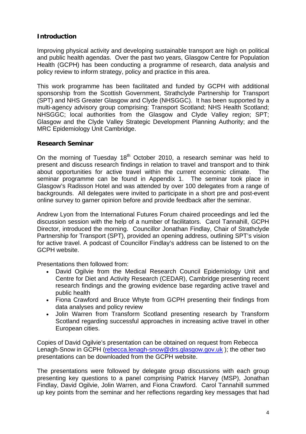## **Introduction**

Improving physical activity and developing sustainable transport are high on political and public health agendas. Over the past two years, Glasgow Centre for Population Health (GCPH) has been conducting a programme of research, data analysis and policy review to inform strategy, policy and practice in this area.

This work programme has been facilitated and funded by GCPH with additional sponsorship from the Scottish Government, Strathclyde Partnership for Transport (SPT) and NHS Greater Glasgow and Clyde (NHSGGC). It has been supported by a multi-agency advisory group comprising: Transport Scotland; NHS Health Scotland; NHSGGC; local authorities from the Glasgow and Clyde Valley region; SPT; Glasgow and the Clyde Valley Strategic Development Planning Authority; and the MRC Epidemiology Unit Cambridge.

### **Research Seminar**

On the morning of Tuesday 18<sup>th</sup> October 2010, a research seminar was held to present and discuss research findings in relation to travel and transport and to think about opportunities for active travel within the current economic climate. The seminar programme can be found in Appendix 1. The seminar took place in Glasgow's Radisson Hotel and was attended by over 100 delegates from a range of backgrounds. All delegates were invited to participate in a short pre and post-event online survey to garner opinion before and provide feedback after the seminar.

Andrew Lyon from the International Futures Forum chaired proceedings and led the discussion session with the help of a number of facilitators. Carol Tannahill, GCPH Director, introduced the morning. Councillor Jonathan Findlay, Chair of Strathclyde Partnership for Transport (SPT), provided an opening address, outlining SPT's vision for active travel. A podcast of Councillor Findlay's address can be listened to on the GCPH website.

Presentations then followed from:

- David Ogilvie from the Medical Research Council Epidemiology Unit and Centre for Diet and Activity Research (CEDAR), Cambridge presenting recent research findings and the growing evidence base regarding active travel and public health
- Fiona Crawford and Bruce Whyte from GCPH presenting their findings from data analyses and policy review
- Jolin Warren from Transform Scotland presenting research by Transform Scotland regarding successful approaches in increasing active travel in other European cities.

Copies of David Ogilvie's presentation can be obtained on request from Rebecca Lenagh-Snow in GCPH [\(rebecca.lenagh-snow@drs.glasgow.gov.uk](mailto:rebecca.lenagh-snow@drs.glasgow.gov.uk)); the other two presentations can be downloaded from the GCPH website.

The presentations were followed by delegate group discussions with each group presenting key questions to a panel comprising Patrick Harvey (MSP), Jonathan Findlay, David Ogilvie, Jolin Warren, and Fiona Crawford. Carol Tannahill summed up key points from the seminar and her reflections regarding key messages that had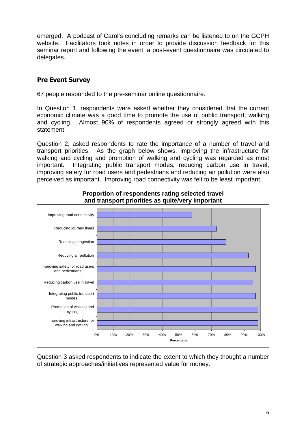emerged. A podcast of Carol's concluding remarks can be listened to on the GCPH website. Facilitators took notes in order to provide discussion feedback for this seminar report and following the event, a post-event questionnaire was circulated to delegates.

## **Pre Event Survey**

67 people responded to the pre-seminar online questionnaire.

In Question 1, respondents were asked whether they considered that the current economic climate was a good time to promote the use of public transport, walking and cycling. Almost 90% of respondents agreed or strongly agreed with this statement.

Question 2, asked respondents to rate the importance of a number of travel and transport priorities. As the graph below shows, improving the infrastructure for walking and cycling and promotion of walking and cycling was regarded as most important. Integrating public transport modes, reducing carbon use in travel, improving safety for road users and pedestrians and reducing air pollution were also perceived as important. Improving road connectivity was felt to be least important.



### **Proportion of respondents rating selected travel and transport priorities as quite/very important**

Question 3 asked respondents to indicate the extent to which they thought a number of strategic approaches/initiatives represented value for money.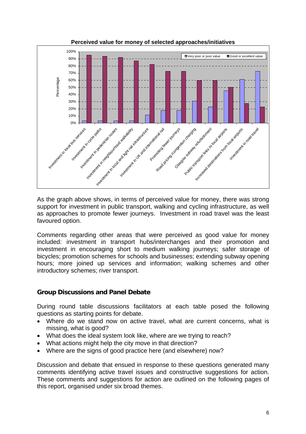

#### **Perceived value for money of selected approaches/initiatives**

As the graph above shows, in terms of perceived value for money, there was strong support for investment in public transport, walking and cycling infrastructure, as well as approaches to promote fewer journeys. Investment in road travel was the least favoured option.

Comments regarding other areas that were perceived as good value for money included: investment in transport hubs/interchanges and their promotion and investment in encouraging short to medium walking journeys; safer storage of bicycles; promotion schemes for schools and businesses; extending subway opening hours; more joined up services and information; walking schemes and other introductory schemes; river transport.

## **Group Discussions and Panel Debate**

During round table discussions facilitators at each table posed the following questions as starting points for debate.

- Where do we stand now on active travel, what are current concerns, what is missing, what is good?
- What does the ideal system look like, where are we trying to reach?
- What actions might help the city move in that direction?
- Where are the signs of good practice here (and elsewhere) now?

Discussion and debate that ensued in response to these questions generated many comments identifying active travel issues and constructive suggestions for action. These comments and suggestions for action are outlined on the following pages of this report, organised under six broad themes.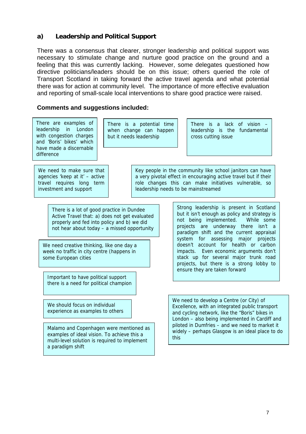## **a) Leadership and Political Support**

There was a consensus that clearer, stronger leadership and political support was necessary to stimulate change and nurture good practice on the ground and a feeling that this was currently lacking. However, some delegates questioned how directive politicians/leaders should be on this issue; others queried the role of Transport Scotland in taking forward the active travel agenda and what potential there was for action at community level. The importance of more effective evaluation and reporting of small-scale local interventions to share good practice were raised.

#### **Comments and suggestions included:**

| There are examples of<br>in London<br>leadership<br>with congestion charges<br>but it needs leadership<br>and 'Boris' bikes' which<br>have made a discernable<br>difference                                                                                                                                | There is a potential time<br>when change can happen | There is a lack of vision<br>leadership is the fundamental<br>cross cutting issue                                                                                                                                                                                                                                                                                                                                                  |
|------------------------------------------------------------------------------------------------------------------------------------------------------------------------------------------------------------------------------------------------------------------------------------------------------------|-----------------------------------------------------|------------------------------------------------------------------------------------------------------------------------------------------------------------------------------------------------------------------------------------------------------------------------------------------------------------------------------------------------------------------------------------------------------------------------------------|
| We need to make sure that<br>agencies 'keep at it' - active<br>travel requires long term<br>investment and support                                                                                                                                                                                         | leadership needs to be mainstreamed                 | Key people in the community like school janitors can have<br>a very pivotal effect in encouraging active travel but if their<br>role changes this can make initiatives vulnerable, so                                                                                                                                                                                                                                              |
| There is a lot of good practice in Dundee<br>Active Travel that: a) does not get evaluated<br>properly and fed into policy and b) we did<br>not hear about today - a missed opportunity<br>We need creative thinking, like one day a<br>week no traffic in city centre (happens in<br>some European cities |                                                     | Strong leadership is present in Scotland<br>but it isn't enough as policy and strategy is<br>not being implemented.<br>While some<br>projects are underway there isn't a<br>paradigm shift and the current appraisal<br>system for assessing major projects<br>doesn't account for health or carbon<br>impacts. Even economic arguments don't<br>stack up for several major trunk road<br>projects, but there is a strong lobby to |
| Important to have political support<br>there is a need for political champion                                                                                                                                                                                                                              |                                                     | ensure they are taken forward                                                                                                                                                                                                                                                                                                                                                                                                      |
| We should focus on individual<br>experience as examples to others                                                                                                                                                                                                                                          |                                                     | We need to develop a Centre (or City) of<br>Excellence, with an integrated public transport<br>and cycling network, like the "Boris" bikes in<br>London - also being implemented in Cardiff and                                                                                                                                                                                                                                    |
| Malamo and Copenhagen were mentioned as<br>examples of ideal vision. To achieve this a<br>multi-level solution is required to implement<br>a paradigm shift                                                                                                                                                | this                                                | piloted in Dumfries - and we need to market it<br>widely - perhaps Glasgow is an ideal place to do                                                                                                                                                                                                                                                                                                                                 |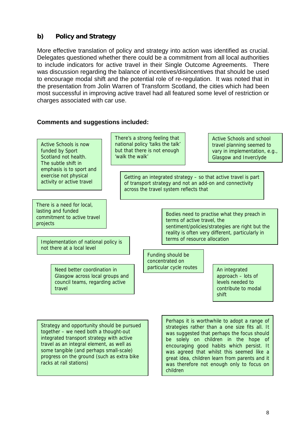## **b) Policy and Strategy**

More effective translation of policy and strategy into action was identified as crucial. Delegates questioned whether there could be a commitment from all local authorities to include indicators for active travel in their Single Outcome Agreements. There was discussion regarding the balance of incentives/disincentives that should be used to encourage modal shift and the potential role of re-regulation. It was noted that in the presentation from Jolin Warren of Transform Scotland, the cities which had been most successful in improving active travel had all featured some level of restriction or charges associated with car use.

#### **Comments and suggestions included:**



children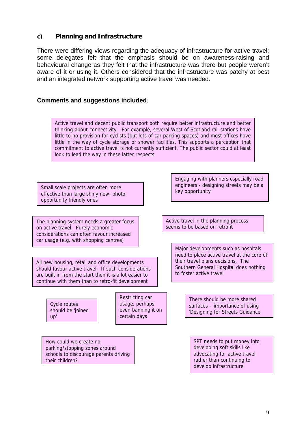## **c) Planning and Infrastructure**

There were differing views regarding the adequacy of infrastructure for active travel; some delegates felt that the emphasis should be on awareness-raising and behavioural change as they felt that the infrastructure was there but people weren't aware of it or using it. Others considered that the infrastructure was patchy at best and an integrated network supporting active travel was needed.

#### **Comments and suggestions included**:

Active travel and decent public transport both require better infrastructure and better thinking about connectivity. For example, several West of Scotland rail stations have little to no provision for cyclists (but lots of car parking spaces) and most offices have little in the way of cycle storage or shower facilities. This supports a perception that commitment to active travel is not currently sufficient. The public sector could at least look to lead the way in these latter respects

Small scale projects are often more<br>
Small scale projects are often more<br>
Small scale projects are often more<br>
Skey opportunity effective than large shiny new, photo opportunity friendly ones

The planning system needs a greater focus on active travel. Purely economic considerations can often favour increased car usage (e.g. with shopping centres)

All new housing, retail and office developments should favour active travel. If such considerations are built in from the start then it is a lot easier to continue with them than to retro-fit development

> Cycle routes should be 'joined up'

Restricting car usage, perhaps even banning it on certain days

How could we create no parking/stopping zones around schools to discourage parents driving their children?

Engaging with planners especially road engineers - designing streets may be a

Active travel in the planning process seems to be based on retrofit

> Major developments such as hospitals need to place active travel at the core of their travel plans decisions. The Southern General Hospital does nothing to foster active travel

> > There should be more shared surfaces – importance of using 'Designing for Streets Guidance

SPT needs to put money into developing soft skills like advocating for active travel, rather than continuing to develop infrastructure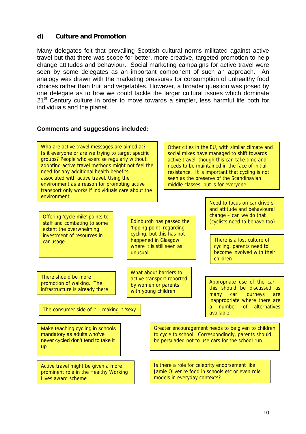## **d) Culture and Promotion**

Many delegates felt that prevailing Scottish cultural norms militated against active travel but that there was scope for better, more creative, targeted promotion to help change attitudes and behaviour. Social marketing campaigns for active travel were seen by some delegates as an important component of such an approach. An analogy was drawn with the marketing pressures for consumption of unhealthy food choices rather than fruit and vegetables. However, a broader question was posed by one delegate as to how we could tackle the larger cultural issues which dominate  $21<sup>st</sup>$  Century culture in order to move towards a simpler, less harmful life both for individuals and the planet.

#### **Comments and suggestions included:**

Who are active travel messages are aimed at? Is it everyone or are we trying to target specific groups? People who exercise regularly without adopting active travel methods might not feel the need for any additional health benefits associated with active travel. Using the environment as a reason for promoting active transport only works if individuals care about the environment

Other cities in the EU, with similar climate and social mixes have managed to shift towards active travel, though this can take time and needs to be maintained in the face of initial resistance. It is important that cycling is not seen as the preserve of the Scandinavian middle classes, but is for everyone

Offering 'cycle mile' points to entitled to be have too) offering to change – can we do that<br>
Staff and combating to some Staff and combating to some Staff and combating to some Staff and combating to so staff and combating to some extent the overwhelming investment of resources in car usage

Edinburgh has passed the 'tipping point' regarding cycling, but this has not happened in Glasgow where it is still seen as unusual

There should be more promotion of walking. The infrastructure is already there

The consumer side of it – making it 'sexy  $\begin{vmatrix} a & b \\ c & d \end{vmatrix}$ 

Make teaching cycling in schools mandatory as adults who've never cycled don't tend to take it up

Active travel might be given a more prominent role in the Healthy Working Lives award scheme

What about barriers to active transport reported by women or parents with young children

Need to focus on car drivers and attitude and behavioural change – can we do that

There is a lost culture of cycling, parents need to become involved with their children

Appropriate use of the car – this should be discussed as many car journeys are inappropriate where there are a number of alternatives

Greater encouragement needs to be given to children to cycle to school. Correspondingly, parents should be persuaded not to use cars for the school run

Is there a role for celebrity endorsement like Jamie Oliver re food in schools etc or even role models in everyday contexts?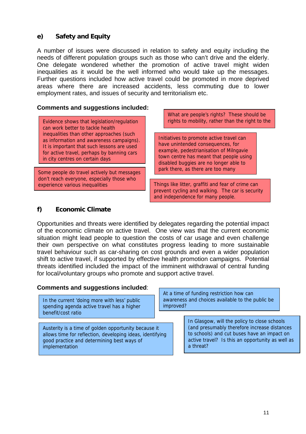## **e) Safety and Equity**

A number of issues were discussed in relation to safety and equity including the needs of different population groups such as those who can't drive and the elderly. One delegate wondered whether the promotion of active travel might widen inequalities as it would be the well informed who would take up the messages. Further questions included how active travel could be promoted in more deprived areas where there are increased accidents, less commuting due to lower employment rates, and issues of security and territorialism etc.

#### **Comments and suggestions included:**

can work better to tackle health inequalities than other approaches (such as information and awareness campaigns). It is important that such lessons are used for active travel, perhaps by banning cars in city centres on certain days

park there, as there are too many Some people do travel actively but messages don't reach everyone, especially those who

What are people's rights? These should be Evidence shows that legislation/regulation  $\parallel$  rights to mobility, rather than the right to the

> Initiatives to promote active travel can have unintended consequences, for example, pedestrianisation of Milngavie town centre has meant that people using disabled buggies are no longer able to

experience various inequalities Things like litter, graffiti and fear of crime can prevent cycling and walking. The car is security and independence for many people.

## **f) Economic Climate**

Opportunities and threats were identified by delegates regarding the potential impact of the economic climate on active travel. One view was that the current economic situation might lead people to question the costs of car usage and even challenge their own perspective on what constitutes progress leading to more sustainable travel behaviour such as car-sharing on cost grounds and even a wider population shift to active travel, if supported by effective health promotion campaigns. Potential threats identified included the impact of the imminent withdrawal of central funding for local/voluntary groups who promote and support active travel.

#### **Comments and suggestions included**:

In the current 'doing more with less' public spending agenda active travel has a higher benefit/cost ratio

Austerity is a time of golden opportunity because it allows time for reflection, developing ideas, identifying good practice and determining best ways of implementation

At a time of funding restriction how can awareness and choices available to the public be improved?

> In Glasgow, will the policy to close schools (and presumably therefore increase distances to schools) and cut buses have an impact on active travel? Is this an opportunity as well as a threat?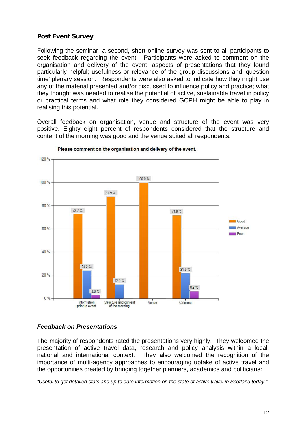## **Post Event Survey**

Following the seminar, a second, short online survey was sent to all participants to seek feedback regarding the event. Participants were asked to comment on the organisation and delivery of the event; aspects of presentations that they found particularly helpful; usefulness or relevance of the group discussions and 'question time' plenary session. Respondents were also asked to indicate how they might use any of the material presented and/or discussed to influence policy and practice; what they thought was needed to realise the potential of active, sustainable travel in policy or practical terms and what role they considered GCPH might be able to play in realising this potential.

Overall feedback on organisation, venue and structure of the event was very positive. Eighty eight percent of respondents considered that the structure and content of the morning was good and the venue suited all respondents.



Please comment on the organisation and delivery of the event.

## *Feedback on Presentations*

The majority of respondents rated the presentations very highly. They welcomed the presentation of active travel data, research and policy analysis within a local, national and international context. They also welcomed the recognition of the importance of multi-agency approaches to encouraging uptake of active travel and the opportunities created by bringing together planners, academics and politicians:

*"Useful to get detailed stats and up to date information on the state of active travel in Scotland today."*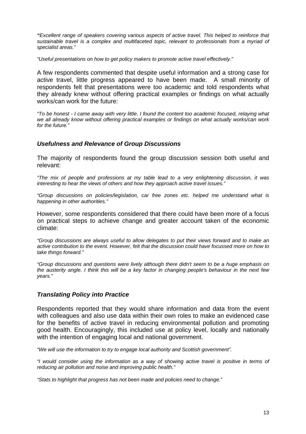*"Excellent range of speakers covering various aspects of active travel. This helped to reinforce that sustainable travel is a complex and multifaceted topic, relevant to professionals from a myriad of specialist areas."* 

*"Useful presentations on how to get policy makers to promote active travel effectively."*

A few respondents commented that despite useful information and a strong case for active travel, little progress appeared to have been made. A small minority of respondents felt that presentations were too academic and told respondents what they already knew without offering practical examples or findings on what actually works/can work for the future:

*"To be honest - I came away with very little. I found the content too academic focused, relaying what we all already know without offering practical examples or findings on what actually works/can work for the future."* 

#### *Usefulness and Relevance of Group Discussions*

The majority of respondents found the group discussion session both useful and relevant:

*"The mix of people and professions at my table lead to a very enlightening discussion, it was interesting to hear the views of others and how they approach active travel issues."* 

*"Group discussions on policies/legislation, car free zones etc. helped me understand what is happening in other authorities."* 

However, some respondents considered that there could have been more of a focus on practical steps to achieve change and greater account taken of the economic climate:

*"Group discussions are always useful to allow delegates to put their views forward and to make an active contribution to the event. However, felt that the discussion could have focussed more on how to take things forward."* 

*"Group discussions and questions were lively although there didn't seem to be a huge emphasis on the austerity angle. I think this will be a key factor in changing people's behaviour in the next few years."* 

#### *Translating Policy into Practice*

Respondents reported that they would share information and data from the event with colleagues and also use data within their own roles to make an evidenced case for the benefits of active travel in reducing environmental pollution and promoting good health. Encouragingly, this included use at policy level, locally and nationally with the intention of engaging local and national government.

*"We will use the information to try to engage local authority and Scottish government".* 

*"I would consider using the information as a way of showing active travel is positive in terms of reducing air pollution and noise and improving public health."* 

*"Stats to highlight that progress has not been made and policies need to change."*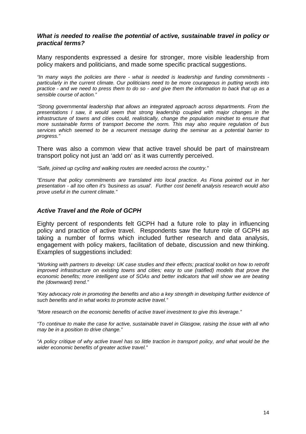#### *What is needed to realise the potential of active, sustainable travel in policy or practical terms?*

Many respondents expressed a desire for stronger, more visible leadership from policy makers and politicians, and made some specific practical suggestions.

*"In many ways the policies are there - what is needed is leadership and funding commitments particularly in the current climate. Our politicians need to be more courageous in putting words into practice - and we need to press them to do so - and give them the information to back that up as a sensible course of action."* 

*"Strong governmental leadership that allows an integrated approach across departments. From the presentations I saw, it would seem that strong leadership coupled with major changes in the infrastructure of towns and cities could, realistically, change the population mindset to ensure that more sustainable forms of transport become the norm. This may also require regulation of bus services which seemed to be a recurrent message during the seminar as a potential barrier to progress."* 

There was also a common view that active travel should be part of mainstream transport policy not just an 'add on' as it was currently perceived.

*"Safe, joined up cycling and walking routes are needed across the country."* 

*"Ensure that policy commitments are translated into local practice. As Fiona pointed out in her presentation - all too often it's 'business as usual'. Further cost benefit analysis research would also prove useful in the current climate."* 

#### *Active Travel and the Role of GCPH*

Eighty percent of respondents felt GCPH had a future role to play in influencing policy and practice of active travel. Respondents saw the future role of GCPH as taking a number of forms which included further research and data analysis, engagement with policy makers, facilitation of debate, discussion and new thinking. Examples of suggestions included:

*"Working with partners to develop: UK case studies and their effects; practical toolkit on how to retrofit improved infrastructure on existing towns and cities; easy to use (ratified) models that prove the economic benefits; more intelligent use of SOAs and better indicators that will show we are beating the (downward) trend."* 

*"Key advocacy role in promoting the benefits and also a key strength in developing further evidence of such benefits and in what works to promote active travel."* 

*"More research on the economic benefits of active travel investment to give this leverage."* 

*"To continue to make the case for active, sustainable travel in Glasgow, raising the issue with all who may be in a position to drive change."*

*"A policy critique of why active travel has so little traction in transport policy, and what would be the wider economic benefits of greater active travel."*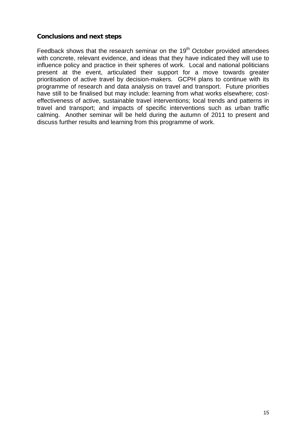### **Conclusions and next steps**

Feedback shows that the research seminar on the  $19<sup>th</sup>$  October provided attendees with concrete, relevant evidence, and ideas that they have indicated they will use to influence policy and practice in their spheres of work. Local and national politicians present at the event, articulated their support for a move towards greater prioritisation of active travel by decision-makers. GCPH plans to continue with its programme of research and data analysis on travel and transport. Future priorities have still to be finalised but may include: learning from what works elsewhere; costeffectiveness of active, sustainable travel interventions; local trends and patterns in travel and transport; and impacts of specific interventions such as urban traffic calming. Another seminar will be held during the autumn of 2011 to present and discuss further results and learning from this programme of work.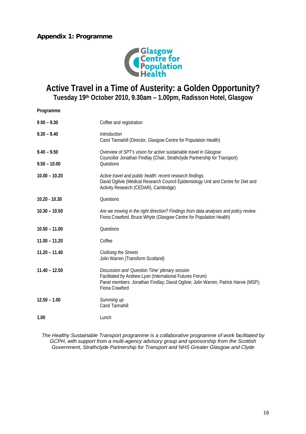

# **Active Travel in a Time of Austerity: a Golden Opportunity? Tuesday 19th October 2010, 9.30am – 1.00pm, Radisson Hotel, Glasgow**

**Programme** 

| $900 - 9.30$                    | Coffee and registration                                                                                                                                                                                             |  |
|---------------------------------|---------------------------------------------------------------------------------------------------------------------------------------------------------------------------------------------------------------------|--|
| $9.30 - 9.40$                   | Introduction<br>Carol Tannahill (Director, Glasgow Centre for Population Health)                                                                                                                                    |  |
| $9.40 - 9.50$<br>$9.50 - 10.00$ | Overview of SPT's vision for active sustainable travel in Glasgow<br>Councillor Jonathan Findlay (Chair, Strathclyde Partnership for Transport)<br>Questions                                                        |  |
| $10.00 - 10.20$                 | Active travel and public health: recent research findings.<br>David Ogilvie (Medical Research Council Epidemiology Unit and Centre for Diet and<br>Activity Research (CEDAR), Cambridge)                            |  |
| $10.20 - 10.30$                 | Questions                                                                                                                                                                                                           |  |
| $10.30 - 10.50$                 | Are we moving in the right direction? Findings from data analyses and policy review<br>Fiona Crawford, Bruce Whyte (Glasgow Centre for Population Health)                                                           |  |
| $10.50 - 11.00$                 | Questions                                                                                                                                                                                                           |  |
| $11.00 - 11.20$                 | Coffee                                                                                                                                                                                                              |  |
| $11.20 - 11.40$                 | Civilising the Streets<br>Jolin Warren (Transform Scotland)                                                                                                                                                         |  |
| $11.40 - 12.50$                 | Discussion and 'Question Time' plenary session<br>Facilitated by Andrew Lyon (International Futures Forum)<br>Panel members: Jonathan Findlay; David Ogilvie; Jolin Warren; Patrick Harvie (MSP);<br>Fiona Crawford |  |
| $12.50 - 1.00$                  | Summing up<br>Carol Tannahill                                                                                                                                                                                       |  |
| 1.00                            | Lunch                                                                                                                                                                                                               |  |

*The Healthy Sustainable Transport programme is a collaborative programme of work facilitated by GCPH, with support from a multi-agency advisory group and sponsorship from the Scottish Government, Strathclyde Partnership for Transport and NHS Greater Glasgow and Clyde*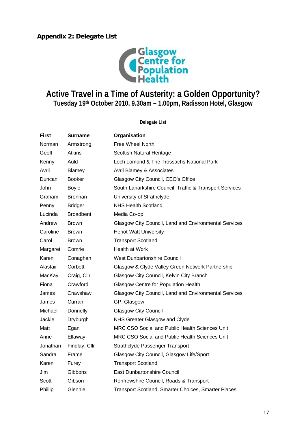

# **Active Travel in a Time of Austerity: a Golden Opportunity? Tuesday 19th October 2010, 9.30am – 1.00pm, Radisson Hotel, Glasgow**

#### **Delegate List**

| First    | Surname          | Organisation                                            |
|----------|------------------|---------------------------------------------------------|
| Norman   | Armstrong        | Free Wheel North                                        |
| Geoff    | Atkins           | Scottish Natural Heritage                               |
| Kenny    | Auld             | Loch Lomond & The Trossachs National Park               |
| Avril    | Blamey           | Avril Blamey & Associates                               |
| Duncan   | <b>Booker</b>    | Glasgow City Council, CEO's Office                      |
| John     | <b>Boyle</b>     | South Lanarkshire Council, Traffic & Transport Services |
| Graham   | <b>Brennan</b>   | University of Strathclyde                               |
| Penny    | <b>Bridger</b>   | <b>NHS Health Scotland</b>                              |
| Lucinda  | <b>Broadbent</b> | Media Co-op                                             |
| Andrew   | <b>Brown</b>     | Glasgow City Council, Land and Environmental Services   |
| Caroline | <b>Brown</b>     | <b>Heriot-Watt University</b>                           |
| Carol    | <b>Brown</b>     | <b>Transport Scotland</b>                               |
| Margaret | Comrie           | Health at Work                                          |
| Karen    | Conaghan         | <b>West Dunbartonshire Council</b>                      |
| Alastair | Corbett          | Glasgow & Clyde Valley Green Network Partnership        |
| MacKay   | Craig, Cllr      | Glasgow City Council, Kelvin City Branch                |
| Fiona    | Crawford         | <b>Glasgow Centre for Population Health</b>             |
| James    | Crawshaw         | Glasgow City Council, Land and Environmental Services   |
| James    | Curran           | GP, Glasgow                                             |
| Michael  | Donnelly         | <b>Glasgow City Council</b>                             |
| Jackie   | Dryburgh         | NHS Greater Glasgow and Clyde                           |
| Matt     | Egan             | MRC CSO Social and Public Health Sciences Unit          |
| Anne     | Ellaway          | MRC CSO Social and Public Health Sciences Unit          |
| Jonathan | Findlay, Cllr    | Strathclyde Passenger Transport                         |
| Sandra   | Frame            | Glasgow City Council, Glasgow Life/Sport                |
| Karen    | Furey            | <b>Transport Scotland</b>                               |
| Jim      | Gibbons          | <b>East Dunbartonshire Council</b>                      |
| Scott    | Gibson           | Renfrewshire Council, Roads & Transport                 |
| Phillip  | Glennie          | Transport Scotland, Smarter Choices, Smarter Places     |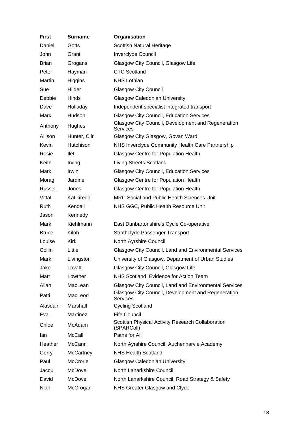| First        | <b>Surname</b>  | Organisation                                                          |
|--------------|-----------------|-----------------------------------------------------------------------|
| Daniel       | Gotts           | Scottish Natural Heritage                                             |
| John         | Grant           | Inverclyde Council                                                    |
| <b>Brian</b> | Grogans         | Glasgow City Council, Glasgow Life                                    |
| Peter        | Hayman          | <b>CTC Scotland</b>                                                   |
| Martin       | Higgins         | <b>NHS Lothian</b>                                                    |
| Sue          | Hilder          | <b>Glasgow City Council</b>                                           |
| Debbie       | <b>Hinds</b>    | <b>Glasgow Caledonian University</b>                                  |
| Dave         | Holladay        | Independent specialist integrated transport                           |
| Mark         | Hudson          | <b>Glasgow City Council, Education Services</b>                       |
| Anthony      | Hughes          | Glasgow City Council, Development and Regeneration<br>Services        |
| Allison      | Hunter, Cllr    | Glasgow City Glasgow, Govan Ward                                      |
| Kevin        | Hutchison       | NHS Inverclyde Community Health Care Partnership                      |
| Rosie        | llet            | <b>Glasgow Centre for Population Health</b>                           |
| Keith        | Irving          | <b>Living Streets Scotland</b>                                        |
| Mark         | Irwin           | <b>Glasgow City Council, Education Services</b>                       |
| Morag        | Jardine         | <b>Glasgow Centre for Population Health</b>                           |
| Russell      | Jones           | Glasgow Centre for Population Health                                  |
| Vittal       | Katikireddi     | MRC Social and Public Health Sciences Unit                            |
| Ruth         | Kendall         | NHS GGC, Public Health Resource Unit                                  |
| Jason        | Kennedy         |                                                                       |
| Mark         | Kiehlmann       | East Dunbartonshire's Cycle Co-operative                              |
| <b>Bruce</b> | Kiloh           | Strathclyde Passenger Transport                                       |
| Louise       | <b>Kirk</b>     | North Ayrshire Council                                                |
| Collin       | Little          | Glasgow City Council, Land and Environmental Services                 |
| Mark         | Livingston      | University of Glasgow, Department of Urban Studies                    |
| Jake         | Lovatt          | Glasgow City Council, Glasgow Life                                    |
| Matt         | Lowther         | NHS Scotland, Evidence for Action Team                                |
| Allan        | MacLean         | Glasgow City Council, Land and Environmental Services                 |
| Patti        | MacLeod         | Glasgow City Council, Development and Regeneration<br><b>Services</b> |
| Alasdair     | Marshall        | <b>Cycling Scotland</b>                                               |
| Eva          | Martinez        | <b>Fife Council</b>                                                   |
| Chloe        | McAdam          | Scottish Physical Activity Research Collaboration<br>(SPARColl)       |
| lan          | <b>McCall</b>   | Paths for All                                                         |
| Heather      | McCann          | North Ayrshire Council, Auchenharvie Academy                          |
| Gerry        | McCartney       | <b>NHS Health Scotland</b>                                            |
| Paul         | <b>McCrorie</b> | <b>Glasgow Caledonian University</b>                                  |
| Jacqui       | McDove          | North Lanarkshire Council                                             |
| David        | McDove          | North Lanarkshire Council, Road Strategy & Safety                     |
| Niall        | McGrogan        | NHS Greater Glasgow and Clyde                                         |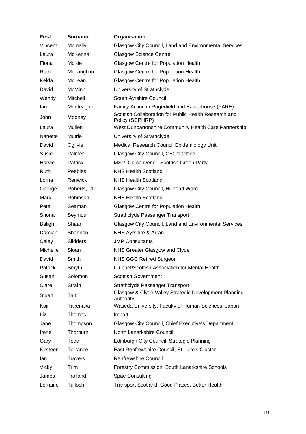| <b>First</b>  | <b>Surname</b> | Organisation                                                             |
|---------------|----------------|--------------------------------------------------------------------------|
| Vincent       | McInally       | Glasgow City Council, Land and Environmental Services                    |
| Laura         | McKenna        | <b>Glasgow Science Centre</b>                                            |
| Fiona         | McKie          | <b>Glasgow Centre for Population Health</b>                              |
| Ruth          | McLaughlin     | <b>Glasgow Centre for Population Health</b>                              |
| Kelda         | McLean         | Glasgow Centre for Population Health                                     |
| David         | McMinn         | University of Strathclyde                                                |
| Wendy         | Mitchell       | South Ayrshire Council                                                   |
| lan           | Monteague      | Family Action in Rogerfield and Easterhouse (FARE)                       |
| John          | Mooney         | Scottish Collaboration for Public Health Research and<br>Policy (SCPHRP) |
| Laura         | <b>Mullen</b>  | West Dunbartonshire Community Health Care Partnership                    |
| Nanette       | Mutrie         | University of Strathclyde                                                |
| David         | Ogilvie        | Medical Research Council Epidemiology Unit                               |
| Susie         | Palmer         | Glasgow City Council, CEO's Office                                       |
| Harvie        | <b>Patrick</b> | MSP, Co-convenor, Scottish Green Party                                   |
| Ruth          | Peebles        | <b>NHS Health Scotland</b>                                               |
| Lorna         | Renwick        | <b>NHS Health Scotland</b>                                               |
| George        | Roberts, Cllr  | Glasgow City Council, Hillhead Ward                                      |
| Mark          | Robinson       | <b>NHS Health Scotland</b>                                               |
| Pete          | Seaman         | <b>Glasgow Centre for Population Health</b>                              |
| Shona         | Seymour        | Strathclyde Passenger Transport                                          |
| Baligh        | Shaar          | Glasgow City Council, Land and Environmental Services                    |
| Damian        | Shannon        | NHS Ayrshire & Arran                                                     |
| Caley         | Slidders       | <b>JMP Consultants</b>                                                   |
| Michelle      | Sloan          | NHS Greater Glasgow and Clyde                                            |
| David         | Smith          | <b>NHS GGC Retired Surgeon</b>                                           |
| Patrick       | Smyth          | <b>Clubnet/Scottish Association for Mental Health</b>                    |
| Susan         | Solomon        | <b>Scottish Government</b>                                               |
| Clare         | <b>Strain</b>  | Strathclyde Passenger Transport                                          |
| <b>Stuart</b> | Tait           | Glasgow & Clyde Valley Strategic Development Planning<br>Authority       |
| Koji          | Takenaka       | Waseda University, Faculty of Human Sciences, Japan                      |
| Liz           | Thomas         | Impart                                                                   |
| Jane          | Thompson       | Glasgow City Council, Chief Executive's Department                       |
| Irene         | Thorburn       | North Lanarkshire Council                                                |
| Gary          | Todd           | Edinburgh City Council, Strategic Planning                               |
| Kirsteen      | Torrance       | East Renfrewshire Council, St Luke's Cluster                             |
| lan           | <b>Travers</b> | <b>Renfrewshire Council</b>                                              |
| Vicky         | Trim           | Forestry Commission, South Lanarkshire Schools                           |
| James         | Trolland       | Spae Consulting                                                          |
| Lorraine      | Tulloch        | Transport Scotland, Good Places, Better Health                           |